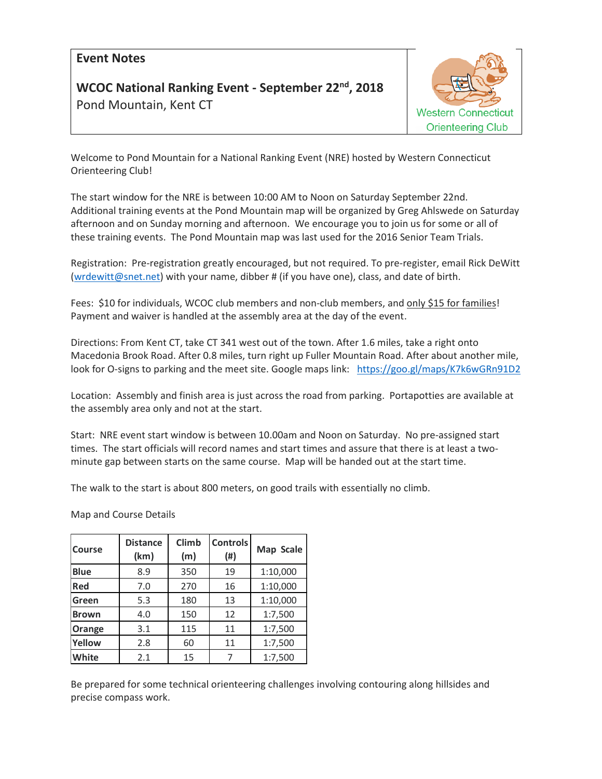## **Event Notes**

## **WCOC National Ranking Event - September 22nd, 2018**  Pond Mountain, Kent CT



Welcome to Pond Mountain for a National Ranking Event (NRE) hosted by Western Connecticut Orienteering Club!

The start window for the NRE is between 10:00 AM to Noon on Saturday September 22nd. Additional training events at the Pond Mountain map will be organized by Greg Ahlswede on Saturday afternoon and on Sunday morning and afternoon. We encourage you to join us for some or all of these training events. The Pond Mountain map was last used for the 2016 Senior Team Trials.

Registration: Pre-registration greatly encouraged, but not required. To pre-register, email Rick DeWitt [\(wrdewitt@snet.net\)](mailto:wrdewitt@snet.net) with your name, dibber # (if you have one), class, and date of birth.

Fees: \$10 for individuals, WCOC club members and non-club members, and only \$15 for families! Payment and waiver is handled at the assembly area at the day of the event.

Directions: From Kent CT, take CT 341 west out of the town. After 1.6 miles, take a right onto Macedonia Brook Road. After 0.8 miles, turn right up Fuller Mountain Road. After about another mile, look for O-signs to parking and the meet site. Google maps link: <https://goo.gl/maps/K7k6wGRn91D2>

Location: Assembly and finish area is just across the road from parking. Portapotties are available at the assembly area only and not at the start.

Start: NRE event start window is between 10.00am and Noon on Saturday. No pre-assigned start times. The start officials will record names and start times and assure that there is at least a twominute gap between starts on the same course. Map will be handed out at the start time.

The walk to the start is about 800 meters, on good trails with essentially no climb.

Map and Course Details

| Course       | <b>Distance</b><br>(km) | <b>Climb</b><br>(m) | <b>Controls</b><br>(#) | Map Scale |  |
|--------------|-------------------------|---------------------|------------------------|-----------|--|
| <b>Blue</b>  | 8.9                     | 350                 | 19                     | 1:10,000  |  |
| Red          | 7.0                     | 270                 | 16                     | 1:10,000  |  |
| Green        | 5.3                     | 180                 | 13                     | 1:10,000  |  |
| <b>Brown</b> | 4.0                     | 150                 | 12                     | 1:7,500   |  |
| Orange       | 3.1                     | 115                 | 11                     | 1:7,500   |  |
| Yellow       | 2.8                     | 60                  | 11                     | 1:7,500   |  |
| White        | 2.1                     | 15                  | 7                      | 1:7,500   |  |

Be prepared for some technical orienteering challenges involving contouring along hillsides and precise compass work.